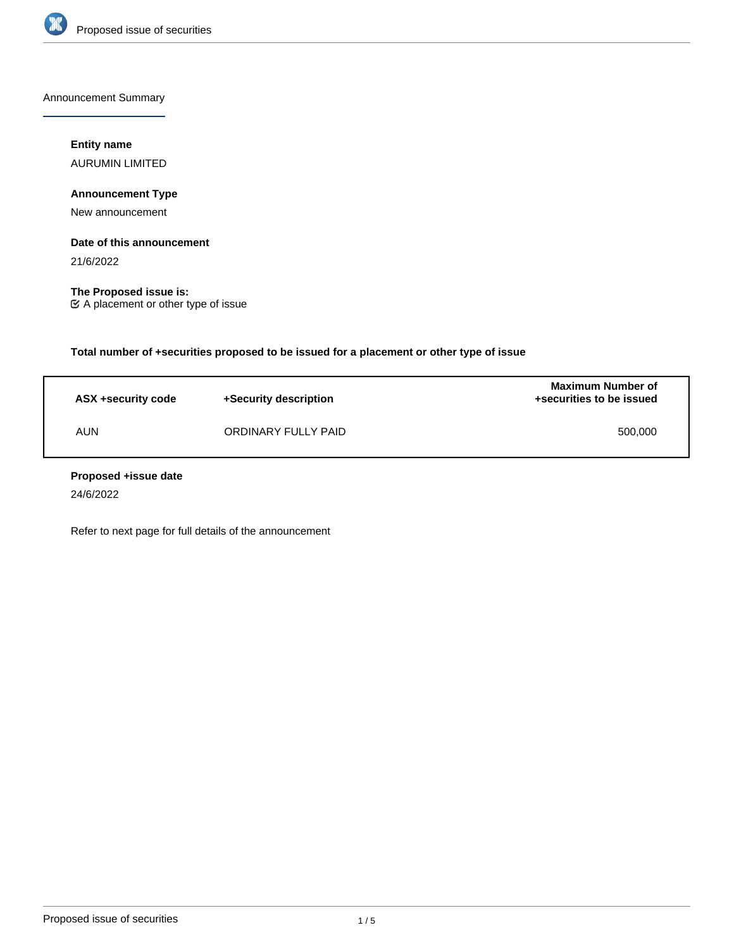

Announcement Summary

# **Entity name**

AURUMIN LIMITED

# **Announcement Type**

New announcement

### **Date of this announcement**

21/6/2022

**The Proposed issue is:** A placement or other type of issue

**Total number of +securities proposed to be issued for a placement or other type of issue**

| ASX +security code | +Security description | <b>Maximum Number of</b><br>+securities to be issued |
|--------------------|-----------------------|------------------------------------------------------|
| AUN                | ORDINARY FULLY PAID   | 500,000                                              |

### **Proposed +issue date**

24/6/2022

Refer to next page for full details of the announcement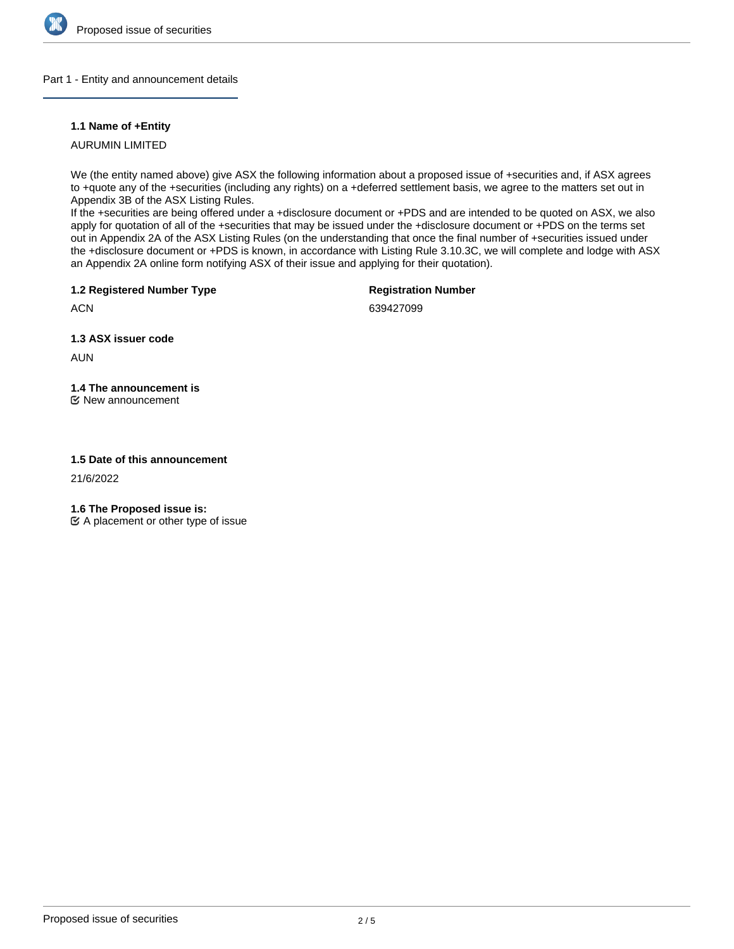

### Part 1 - Entity and announcement details

## **1.1 Name of +Entity**

AURUMIN LIMITED

We (the entity named above) give ASX the following information about a proposed issue of +securities and, if ASX agrees to +quote any of the +securities (including any rights) on a +deferred settlement basis, we agree to the matters set out in Appendix 3B of the ASX Listing Rules.

If the +securities are being offered under a +disclosure document or +PDS and are intended to be quoted on ASX, we also apply for quotation of all of the +securities that may be issued under the +disclosure document or +PDS on the terms set out in Appendix 2A of the ASX Listing Rules (on the understanding that once the final number of +securities issued under the +disclosure document or +PDS is known, in accordance with Listing Rule 3.10.3C, we will complete and lodge with ASX an Appendix 2A online form notifying ASX of their issue and applying for their quotation).

**1.2 Registered Number Type**

**Registration Number**

**ACN** 

639427099

**1.3 ASX issuer code**

AUN

# **1.4 The announcement is**

New announcement

### **1.5 Date of this announcement**

21/6/2022

**1.6 The Proposed issue is:**

 $\mathfrak{C}$  A placement or other type of issue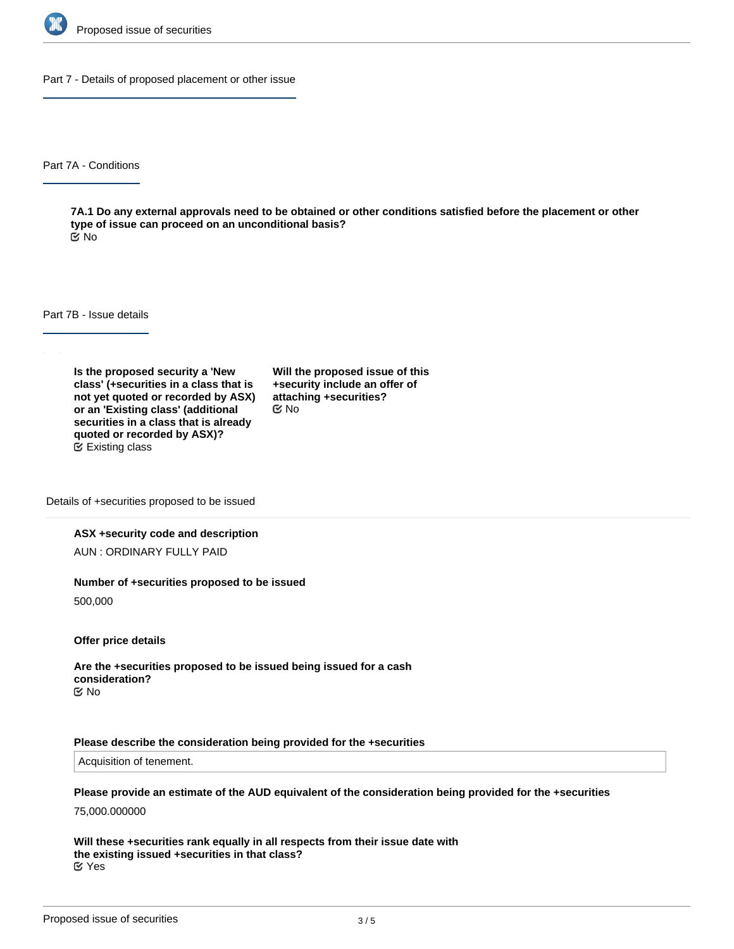

Part 7 - Details of proposed placement or other issue

Part 7A - Conditions

**7A.1 Do any external approvals need to be obtained or other conditions satisfied before the placement or other type of issue can proceed on an unconditional basis?** No

Part 7B - Issue details

**Is the proposed security a 'New class' (+securities in a class that is not yet quoted or recorded by ASX) or an 'Existing class' (additional securities in a class that is already quoted or recorded by ASX)?** Existing class

**Will the proposed issue of this +security include an offer of attaching +securities?** No

Details of +securities proposed to be issued

#### **ASX +security code and description**

AUN : ORDINARY FULLY PAID

#### **Number of +securities proposed to be issued**

500,000

**Offer price details**

**Are the +securities proposed to be issued being issued for a cash consideration?** No

#### **Please describe the consideration being provided for the +securities**

Acquisition of tenement.

**Please provide an estimate of the AUD equivalent of the consideration being provided for the +securities**

75,000.000000

**Will these +securities rank equally in all respects from their issue date with the existing issued +securities in that class?** Yes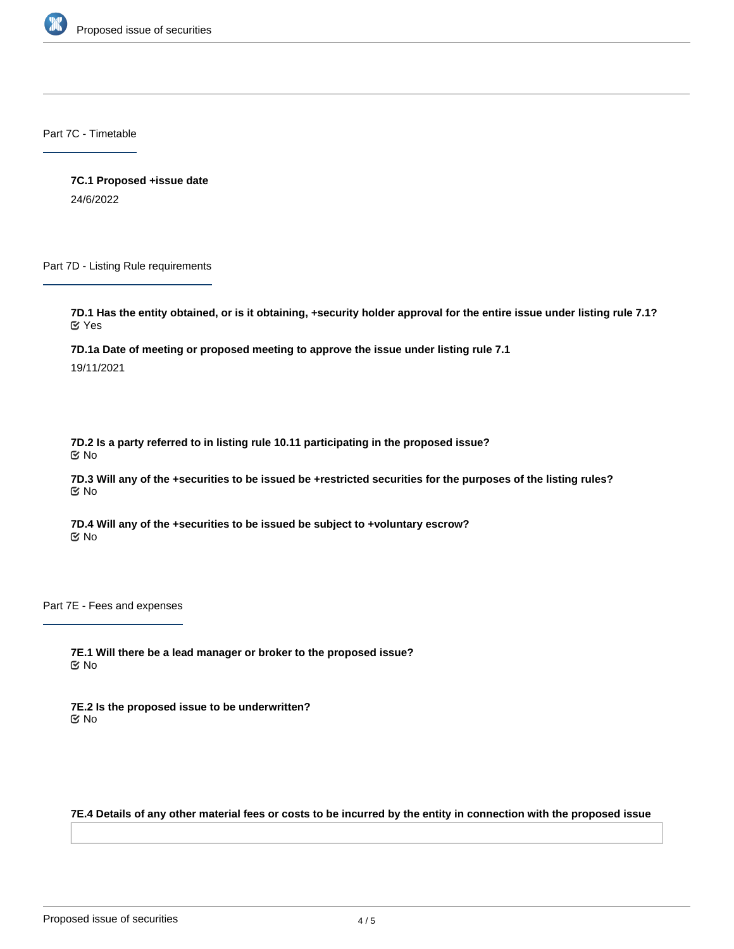

Part 7C - Timetable

**7C.1 Proposed +issue date** 24/6/2022

Part 7D - Listing Rule requirements

**7D.1 Has the entity obtained, or is it obtaining, +security holder approval for the entire issue under listing rule 7.1?** Yes

**7D.1a Date of meeting or proposed meeting to approve the issue under listing rule 7.1**

19/11/2021

**7D.2 Is a party referred to in listing rule 10.11 participating in the proposed issue?** No

**7D.3 Will any of the +securities to be issued be +restricted securities for the purposes of the listing rules?** No

**7D.4 Will any of the +securities to be issued be subject to +voluntary escrow?** No

Part 7E - Fees and expenses

**7E.1 Will there be a lead manager or broker to the proposed issue?** No

**7E.2 Is the proposed issue to be underwritten?** No

**7E.4 Details of any other material fees or costs to be incurred by the entity in connection with the proposed issue**